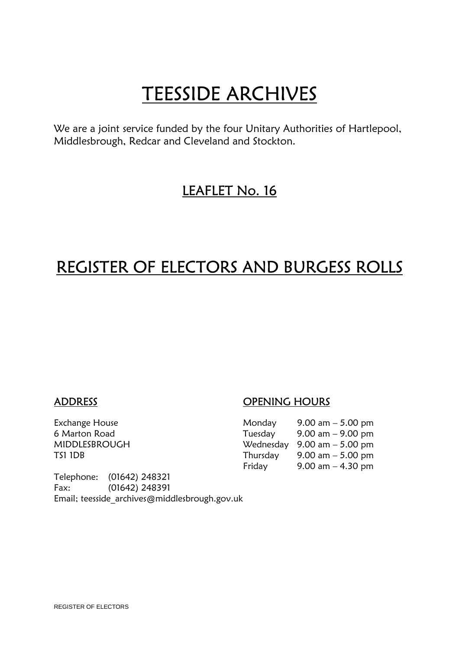**TEESSIDE ARCHIVES**<br>We are a joint service funded by the four Unitary Authorities of Hartlepool, Middlesbrough, Redcar and Cleveland and Stockton.

## LEAFLET No. 16

## REGISTER OF ELECTORS AND BURGESS ROLLS

Telephone: (01642) 248321 Fax: (01642) 248391 Email; teesside\_archives@middlesbrough.gov.uk

### ADDRESS OPENING HOURS

| Exchange House | Monday   | 9.00 am $-$ 5.00 pm                           |
|----------------|----------|-----------------------------------------------|
| 6 Marton Road  | Tuesday  | $9.00 \text{ am} - 9.00 \text{ pm}$           |
| MIDDLESBROUGH  |          | Wednesday $9.00 \text{ am} - 5.00 \text{ pm}$ |
| TS1 1DB        | Thursday | 9.00 am $-$ 5.00 pm                           |
|                | Friday   | 9.00 am $-$ 4.30 pm                           |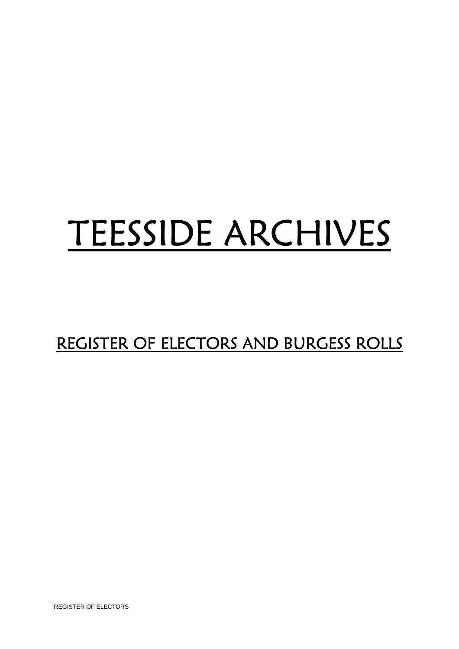# TEESSIDE ARCHIVES

# REGISTER OF ELECTORS AND BURGESS ROLLS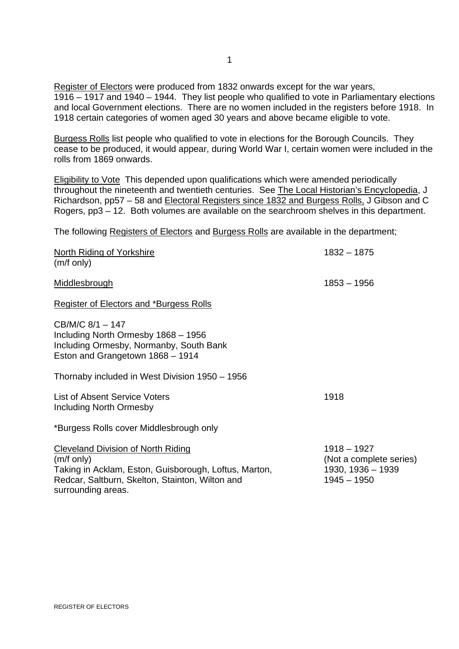Register of Electors were produced from 1832 onwards except for the war years, 1916 – 1917 and 1940 – 1944. They list people who qualified to vote in Parliamentary elections and local Government elections. There are no women included in the registers before 1918. In 1918 certain categories of women aged 30 years and above became eligible to vote.

Burgess Rolls list people who qualified to vote in elections for the Borough Councils. They cease to be produced, it would appear, during World War I, certain women were included in the rolls from 1869 onwards.

Eligibility to Vote This depended upon qualifications which were amended periodically throughout the nineteenth and twentieth centuries. See The Local Historian's Encyclopedia, J Richardson, pp57 – 58 and Electoral Registers since 1832 and Burgess Rolls, J Gibson and C Rogers, pp3 – 12. Both volumes are available on the searchroom shelves in this department.

The following Registers of Electors and Burgess Rolls are available in the department;

| <b>North Riding of Yorkshire</b><br>$(m/f \text{ only})$                                                                                                                                            | $1832 - 1875$                                                                  |
|-----------------------------------------------------------------------------------------------------------------------------------------------------------------------------------------------------|--------------------------------------------------------------------------------|
|                                                                                                                                                                                                     |                                                                                |
| Middlesbrough                                                                                                                                                                                       | $1853 - 1956$                                                                  |
| <b>Register of Electors and *Burgess Rolls</b>                                                                                                                                                      |                                                                                |
| CB/M/C 8/1 - 147<br>Including North Ormesby 1868 - 1956<br>Including Ormesby, Normanby, South Bank<br>Eston and Grangetown 1868 - 1914                                                              |                                                                                |
| Thornaby included in West Division 1950 - 1956                                                                                                                                                      |                                                                                |
| <b>List of Absent Service Voters</b><br>Including North Ormesby                                                                                                                                     | 1918                                                                           |
| *Burgess Rolls cover Middlesbrough only                                                                                                                                                             |                                                                                |
| <b>Cleveland Division of North Riding</b><br>$(m/f \text{ only})$<br>Taking in Acklam, Eston, Guisborough, Loftus, Marton,<br>Redcar, Saltburn, Skelton, Stainton, Wilton and<br>surrounding areas. | $1918 - 1927$<br>(Not a complete series)<br>1930, 1936 - 1939<br>$1945 - 1950$ |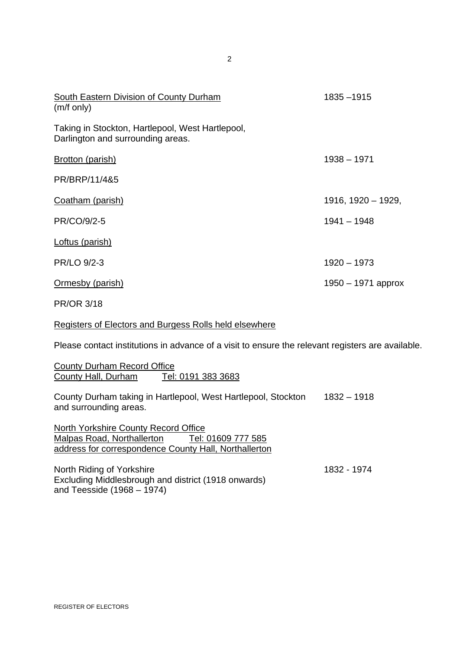| <b>South Eastern Division of County Durham</b><br>$(m/f \text{ only})$                | 1835 - 1915          |
|---------------------------------------------------------------------------------------|----------------------|
| Taking in Stockton, Hartlepool, West Hartlepool,<br>Darlington and surrounding areas. |                      |
| <b>Brotton (parish)</b>                                                               | $1938 - 1971$        |
| PR/BRP/11/4&5                                                                         |                      |
| Coatham (parish)                                                                      | 1916, 1920 - 1929,   |
| PR/CO/9/2-5                                                                           | $1941 - 1948$        |
| Loftus (parish)                                                                       |                      |
| PR/LO 9/2-3                                                                           | $1920 - 1973$        |
| Ormesby (parish)                                                                      | $1950 - 1971$ approx |
| <b>PR/OR 3/18</b>                                                                     |                      |
| <b>Registers of Electors and Burgess Rolls held elsewhere</b>                         |                      |

Please contact institutions in advance of a visit to ensure the relevant registers are available.

1832 - 1974

County Durham Record Office County Hall, Durham Tel: 0191 383 3683

County Durham taking in Hartlepool, West Hartlepool, Stockton 1832 – 1918 and surrounding areas.

North Yorkshire County Record Office<br>
Malpas Road, Northallerton Tel: 01609 777 585 Malpas Road, Northallerton address for correspondence County Hall, Northallerton

North Riding of Yorkshire Excluding Middlesbrough and district (1918 onwards) and Teesside (1968 – 1974)

2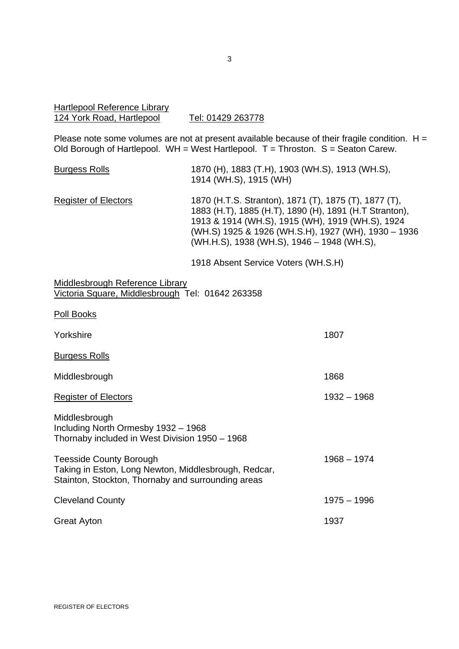#### Hartlepool Reference Library 124 York Road, Hartlepool Tel: 01429 263778

Please note some volumes are not at present available because of their fragile condition.  $H =$ Old Borough of Hartlepool.  $WH = West Hartlepool$ . T = Throston. S = Seaton Carew.

| <b>Burgess Rolls</b>                                                                                                                         | 1870 (H), 1883 (T.H), 1903 (WH.S), 1913 (WH.S),<br>1914 (WH.S), 1915 (WH)                                                                                                                                                                                                |               |
|----------------------------------------------------------------------------------------------------------------------------------------------|--------------------------------------------------------------------------------------------------------------------------------------------------------------------------------------------------------------------------------------------------------------------------|---------------|
| <b>Register of Electors</b>                                                                                                                  | 1870 (H.T.S. Stranton), 1871 (T), 1875 (T), 1877 (T),<br>1883 (H.T), 1885 (H.T), 1890 (H), 1891 (H.T Stranton),<br>1913 & 1914 (WH.S), 1915 (WH), 1919 (WH.S), 1924<br>(WH.S) 1925 & 1926 (WH.S.H), 1927 (WH), 1930 - 1936<br>(WH.H.S), 1938 (WH.S), 1946 - 1948 (WH.S), |               |
|                                                                                                                                              | 1918 Absent Service Voters (WH.S.H)                                                                                                                                                                                                                                      |               |
| Middlesbrough Reference Library<br>Victoria Square, Middlesbrough Tel: 01642 263358                                                          |                                                                                                                                                                                                                                                                          |               |
| <b>Poll Books</b>                                                                                                                            |                                                                                                                                                                                                                                                                          |               |
| Yorkshire                                                                                                                                    |                                                                                                                                                                                                                                                                          | 1807          |
| <b>Burgess Rolls</b>                                                                                                                         |                                                                                                                                                                                                                                                                          |               |
| Middlesbrough                                                                                                                                |                                                                                                                                                                                                                                                                          | 1868          |
| <b>Register of Electors</b>                                                                                                                  |                                                                                                                                                                                                                                                                          | $1932 - 1968$ |
| Middlesbrough<br>Including North Ormesby 1932 - 1968<br>Thornaby included in West Division 1950 - 1968                                       |                                                                                                                                                                                                                                                                          |               |
| <b>Teesside County Borough</b><br>Taking in Eston, Long Newton, Middlesbrough, Redcar,<br>Stainton, Stockton, Thornaby and surrounding areas |                                                                                                                                                                                                                                                                          | $1968 - 1974$ |

Cleveland County Great Ayton 1975 – 1996 1937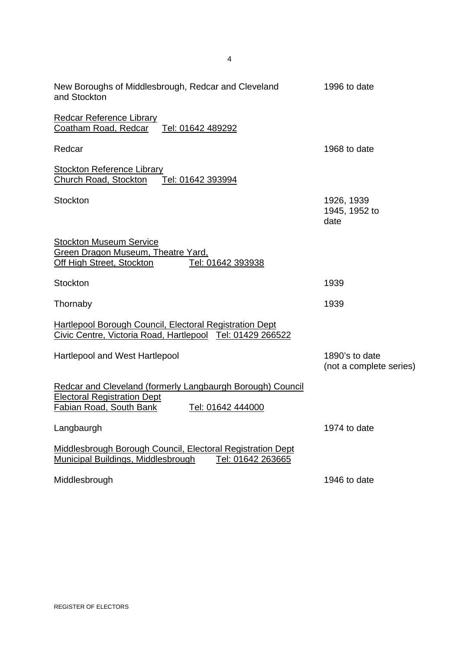| New Boroughs of Middlesbrough, Redcar and Cleveland<br>and Stockton                                                                                            | 1996 to date                              |
|----------------------------------------------------------------------------------------------------------------------------------------------------------------|-------------------------------------------|
| <b>Redcar Reference Library</b><br>Coatham Road, Redcar<br>Tel: 01642 489292                                                                                   |                                           |
| Redcar                                                                                                                                                         | 1968 to date                              |
| <b>Stockton Reference Library</b><br>Church Road, Stockton<br>Tel: 01642 393994                                                                                |                                           |
| Stockton                                                                                                                                                       | 1926, 1939<br>1945, 1952 to<br>date       |
| <b>Stockton Museum Service</b><br>Green Dragon Museum, Theatre Yard,<br>Tel: 01642 393938<br>Off High Street, Stockton                                         |                                           |
| Stockton                                                                                                                                                       | 1939                                      |
| Thornaby                                                                                                                                                       | 1939                                      |
| <b>Hartlepool Borough Council, Electoral Registration Dept</b><br>Civic Centre, Victoria Road, Hartlepool Tel: 01429 266522                                    |                                           |
| <b>Hartlepool and West Hartlepool</b>                                                                                                                          | 1890's to date<br>(not a complete series) |
| Redcar and Cleveland (formerly Langbaurgh Borough) Council<br><b>Electoral Registration Dept</b><br><b>Fabian Road, South Bank</b><br><u>Tel: 01642 444000</u> |                                           |
| Langbaurgh                                                                                                                                                     | 1974 to date                              |
| Middlesbrough Borough Council, Electoral Registration Dept<br><b>Municipal Buildings, Middlesbrough</b><br>Tel: 01642 263665                                   |                                           |
| Middlesbrough                                                                                                                                                  | 1946 to date                              |